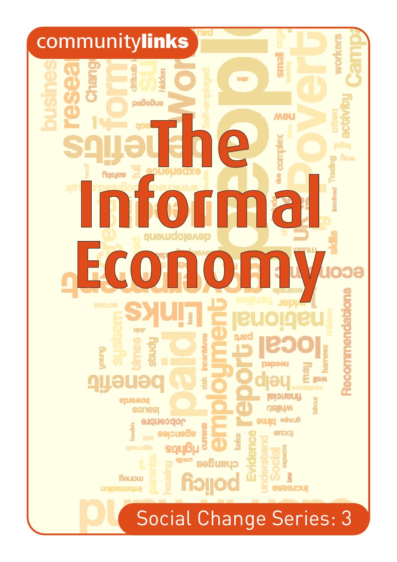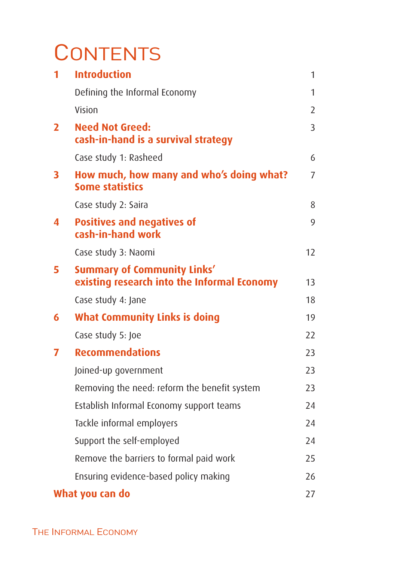## **CONTENTS**

| 1              | <b>Introduction</b>                                                               | 1              |
|----------------|-----------------------------------------------------------------------------------|----------------|
|                | Defining the Informal Economy                                                     | $\mathbf{1}$   |
|                | Vision                                                                            | $\overline{2}$ |
| $\overline{2}$ | <b>Need Not Greed:</b><br>cash-in-hand is a survival strategy                     | 3              |
|                | Case study 1: Rasheed                                                             | 6              |
| 3              | How much, how many and who's doing what?<br><b>Some statistics</b>                | 7              |
|                | Case study 2: Saira                                                               | 8              |
| 4              | <b>Positives and negatives of</b><br>cash-in-hand work                            | 9              |
|                | Case study 3: Naomi                                                               | 12             |
| 5              | <b>Summary of Community Links'</b><br>existing research into the Informal Economy | 13             |
|                | Case study 4: Jane                                                                | 18             |
| 6              | <b>What Community Links is doing</b>                                              | 19             |
|                | Case study 5: Joe                                                                 | 22             |
| 7              | <b>Recommendations</b>                                                            | 23             |
|                | Joined-up government                                                              | 23             |
|                | Removing the need: reform the benefit system                                      | 23             |
|                | Establish Informal Economy support teams                                          | 24             |
|                | Tackle informal employers                                                         | 24             |
|                | Support the self-employed                                                         | 24             |
|                | Remove the barriers to formal paid work                                           | 25             |
|                | Ensuring evidence-based policy making                                             | 26             |
|                | What you can do                                                                   | 27             |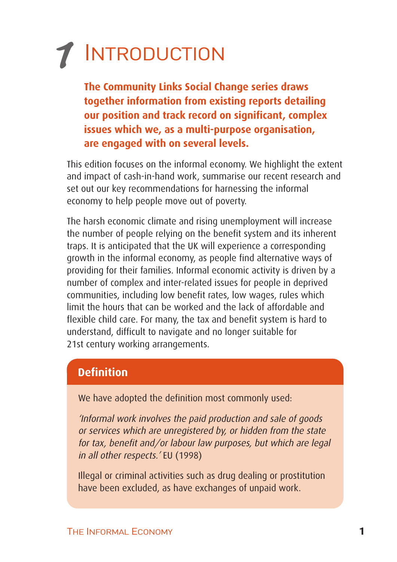# **INTRODUCTION** *1*

**The Community Links Social Change series draws together information from existing reports detailing our position and track record on significant, complex issues which we, as a multi-purpose organisation, are engaged with on several levels.**

This edition focuses on the informal economy. We highlight the extent and impact of cash-in-hand work, summarise our recent research and set out our key recommendations for harnessing the informal economy to help people move out of poverty.

The harsh economic climate and rising unemployment will increase the number of people relying on the benefit system and its inherent traps. It is anticipated that the UK will experience a corresponding growth in the informal economy, as people find alternative ways of providing for their families. Informal economic activity is driven by a number of complex and inter-related issues for people in deprived communities, including low benefit rates, low wages, rules which limit the hours that can be worked and the lack of affordable and flexible child care. For many, the tax and benefit system is hard to understand, difficult to navigate and no longer suitable for 21st century working arrangements.

## **Definition**

We have adopted the definition most commonly used:

'Informal work involves the paid production and sale of goods or services which are unregistered by, or hidden from the state for tax, benefit and/or labour law purposes, but which are legal in all other respects.' EU (1998)

Illegal or criminal activities such as drug dealing or prostitution have been excluded, as have exchanges of unpaid work.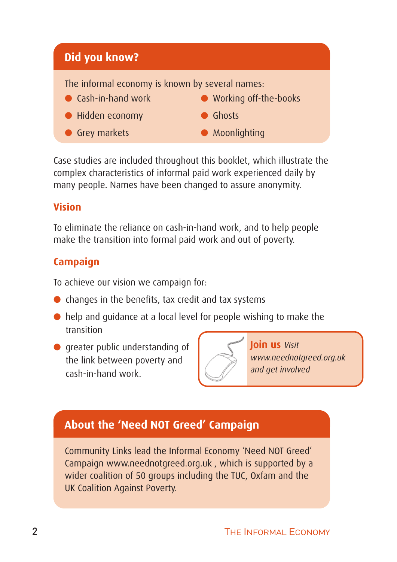

Case studies are included throughout this booklet, which illustrate the complex characteristics of informal paid work experienced daily by many people. Names have been changed to assure anonymity.

#### **Vision**

To eliminate the reliance on cash-in-hand work, and to help people make the transition into formal paid work and out of poverty.

#### **Campaign**

To achieve our vision we campaign for:

- changes in the benefits, tax credit and tax systems
- help and guidance at a local level for people wishing to make the transition
- greater public understanding of the link between poverty and cash-in-hand work.



## **About the 'Need NOT Greed' Campaign**

Community Links lead the Informal Economy 'Need NOT Greed' Campaign www.neednotgreed.org.uk , which is supported by a wider coalition of 50 groups including the TUC, Oxfam and the UK Coalition Against Poverty.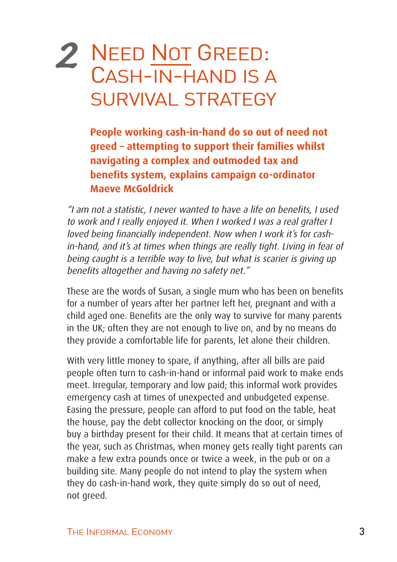## 2 NEED NOT GREED:<br>CASH-IN-HAND IS CASH-IN-HAND IS A SURVIVAL STRATEGY

**People working cash-in-hand do so out of need not greed – attempting to support their families whilst navigating a complex and outmoded tax and benefits system, explains campaign co-ordinator Maeve McGoldrick**

"I am not <sup>a</sup> statistic, I never wanted to have <sup>a</sup> life on benefits, I used to work and <sup>I</sup> really enjoyed it. When <sup>I</sup> worked <sup>I</sup> was <sup>a</sup> real grafter <sup>I</sup> loved being financially independent. Now when <sup>I</sup> work it's for cashin-hand, and it's at times when things are really tight. Living in fear of being caught is <sup>a</sup> terrible way to live, but what is scarier is giving up benefits altogether and having no safety net."

These are the words of Susan, a single mum who has been on benefits for a number of years after her partner left her, pregnant and with a child aged one. Benefits are the only way to survive for many parents in the UK; often they are not enough to live on, and by no means do they provide a comfortable life for parents, let alone their children.

With very little money to spare, if anything, after all bills are paid people often turn to cash-in-hand or informal paid work to make ends meet. Irregular, temporary and low paid; this informal work provides emergency cash at times of unexpected and unbudgeted expense. Easing the pressure, people can afford to put food on the table, heat the house, pay the debt collector knocking on the door, or simply buy a birthday present for their child. It means that at certain times of the year, such as Christmas, when money gets really tight parents can make a few extra pounds once or twice a week, in the pub or on a building site. Many people do not intend to play the system when they do cash-in-hand work, they quite simply do so out of need, not greed.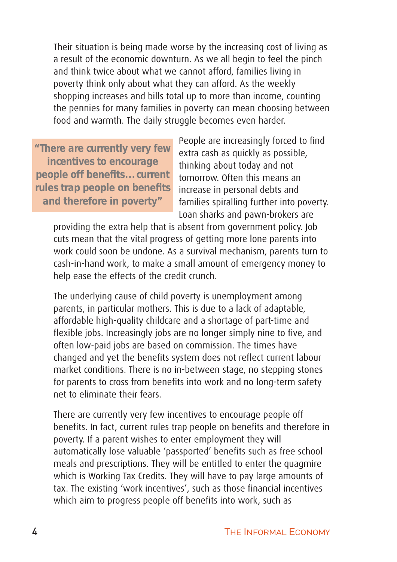Their situation is being made worse by the increasing cost of living as a result of the economic downturn. As we all begin to feel the pinch and think twice about what we cannot afford, families living in poverty think only about what they can afford. As the weekly shopping increases and bills total up to more than income, counting the pennies for many families in poverty can mean choosing between food and warmth. The daily struggle becomes even harder.

*"There are currently very few incentives to encourage people off benefits... current rules trap people on benefits and therefore in poverty"*

People are increasingly forced to find extra cash as quickly as possible, thinking about today and not tomorrow. Often this means an increase in personal debts and families spiralling further into poverty. Loan sharks and pawn-brokers are

providing the extra help that is absent from government policy. Job cuts mean that the vital progress of getting more lone parents into work could soon be undone. As a survival mechanism, parents turn to cash-in-hand work, to make a small amount of emergency money to help ease the effects of the credit crunch.

The underlying cause of child poverty is unemployment among parents, in particular mothers. This is due to a lack of adaptable, affordable high-quality childcare and a shortage of part-time and flexible jobs. Increasingly jobs are no longer simply nine to five, and often low-paid jobs are based on commission. The times have changed and yet the benefits system does not reflect current labour market conditions. There is no in-between stage, no stepping stones for parents to cross from benefits into work and no long-term safety net to eliminate their fears.

There are currently very few incentives to encourage people off benefits. In fact, current rules trap people on benefits and therefore in poverty. If a parent wishes to enter employment they will automatically lose valuable 'passported' benefits such as free school meals and prescriptions. They will be entitled to enter the quagmire which is Working Tax Credits. They will have to pay large amounts of tax. The existing 'work incentives', such as those financial incentives which aim to progress people off benefits into work, such as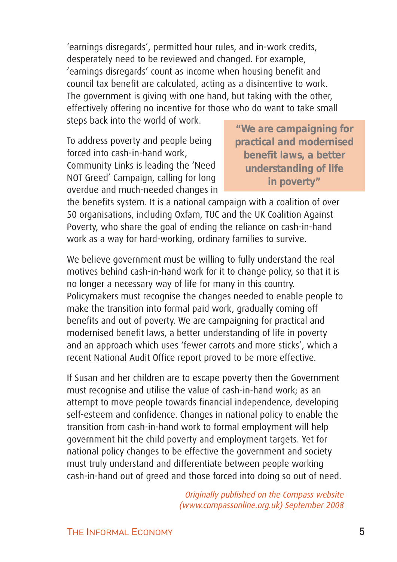'earnings disregards', permitted hour rules, and in-work credits, desperately need to be reviewed and changed. For example, 'earnings disregards' count as income when housing benefit and council tax benefit are calculated, acting as a disincentive to work. The government is giving with one hand, but taking with the other, effectively offering no incentive for those who do want to take small steps back into the world of work.

To address poverty and people being forced into cash-in-hand work, Community Links is leading the 'Need NOT Greed' Campaign, calling for long overdue and much-needed changes in

*"We are campaigning for practical and modernised benefit laws, a better understanding of life in poverty"*

the benefits system. It is a national campaign with a coalition of over 50 organisations, including Oxfam, TUC and the UK Coalition Against Poverty, who share the goal of ending the reliance on cash-in-hand work as a way for hard-working, ordinary families to survive.

We believe government must be willing to fully understand the real motives behind cash-in-hand work for it to change policy, so that it is no longer a necessary way of life for many in this country. Policymakers must recognise the changes needed to enable people to make the transition into formal paid work, gradually coming off benefits and out of poverty. We are campaigning for practical and modernised benefit laws, a better understanding of life in poverty and an approach which uses 'fewer carrots and more sticks', which a recent National Audit Office report proved to be more effective.

If Susan and her children are to escape poverty then the Government must recognise and utilise the value of cash-in-hand work; as an attempt to move people towards financial independence, developing self-esteem and confidence. Changes in national policy to enable the transition from cash-in-hand work to formal employment will help government hit the child poverty and employment targets. Yet for national policy changes to be effective the government and society must truly understand and differentiate between people working cash-in-hand out of greed and those forced into doing so out of need.

> Originally published on the Compass website (www.compassonline.org.uk) September <sup>2008</sup>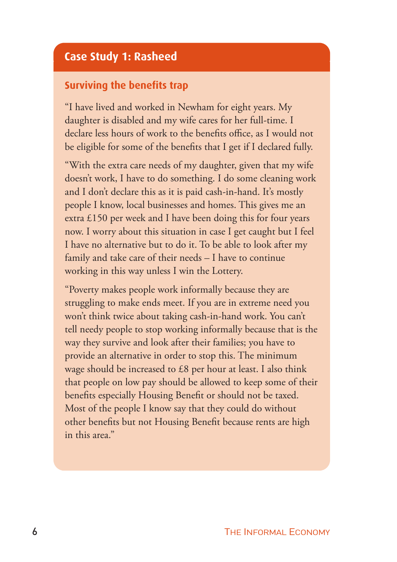#### **Case Study 1: Rasheed**

#### **Surviving the benefits trap**

"I have lived and worked in Newham for eight years. My daughter is disabled and my wife cares for her full-time. I declare less hours of work to the benefits office, as I would not be eligible for some of the benefits that I get if I declared fully.

"With the extra care needs of my daughter, given that my wife doesn't work, I have to do something. I do some cleaning work and I don't declare this as it is paid cash-in-hand. It's mostly people I know, local businesses and homes. This gives me an extra £150 per week and I have been doing this for four years now. I worry about this situation in case I get caught but I feel I have no alternative but to do it. To be able to look after my family and take care of their needs – I have to continue working in this way unless I win the Lottery.

"Poverty makes people work informally because they are struggling to make ends meet. If you are in extreme need you won't think twice about taking cash-in-hand work. You can't tell needy people to stop working informally because that is the way they survive and look after their families; you have to provide an alternative in order to stop this. The minimum wage should be increased to £8 per hour at least. I also think that people on low pay should be allowed to keep some of their benefits especially Housing Benefit or should not be taxed. Most of the people I know say that they could do without other benefits but not Housing Benefit because rents are high in this area."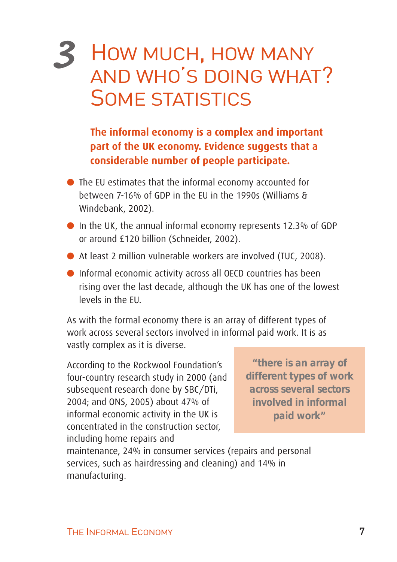## 3 HOW MUCH, HOW MANY<br>AND WHO'S DOING WHAT AND WHO'S DOING WHAT? SOME STATISTICS

**The informal economy is a complex and important part of the UK economy. Evidence suggests that a considerable number of people participate.**

- The EU estimates that the informal economy accounted for between 7-16% of GDP in the EU in the 1990s (Williams & Windebank, 2002).
- In the UK, the annual informal economy represents 12.3% of GDP or around £120 billion (Schneider, 2002).
- At least 2 million vulnerable workers are involved (TUC, 2008).
- Informal economic activity across all OECD countries has been rising over the last decade, although the UK has one of the lowest levels in the EU.

As with the formal economy there is an array of different types of work across several sectors involved in informal paid work. It is as vastly complex as it is diverse.

According to the Rockwool Foundation's four-country research study in 2000 (and subsequent research done by SBC/DTi, 2004; and ONS, 2005) about 47% of informal economic activity in the UK is concentrated in the construction sector, including home repairs and

*"there is an array of different types of work across several sectors involved in informal paid work"*

maintenance, 24% in consumer services (repairs and personal services, such as hairdressing and cleaning) and 14% in manufacturing.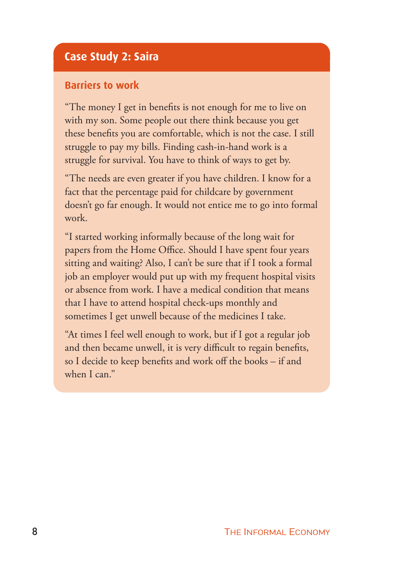## **Case Study 2: Saira**

#### **Barriers to work**

"The money I get in benefits is not enough for me to live on with my son. Some people out there think because you get these benefits you are comfortable, which is not the case. I still struggle to pay my bills. Finding cash-in-hand work is a struggle for survival. You have to think of ways to get by.

"The needs are even greater if you have children. I know for a fact that the percentage paid for childcare by government doesn't go far enough. It would not entice me to go into formal work.

"I started working informally because of the long wait for papers from the Home Office. Should I have spent four years sitting and waiting? Also, I can't be sure that if I took a formal job an employer would put up with my frequent hospital visits or absence from work. I have a medical condition that means that I have to attend hospital check-ups monthly and sometimes I get unwell because of the medicines I take.

"At times I feel well enough to work, but if I got a regular job and then became unwell, it is very difficult to regain benefits, so I decide to keep benefits and work off the books – if and when I can<sup>"</sup>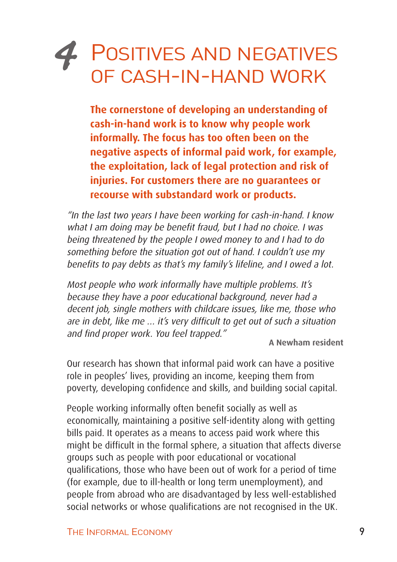# **4** POSITIVES AND NEGATIVES<br>OF CASH-IN-HAND WORK OF CASH-IN-HAND WORK

**The cornerstone of developing an understanding of cash-in-hand work is to know why people work informally. The focus has too often been on the negative aspects of informal paid work, for example, the exploitation, lack of legal protection and risk of injuries. For customers there are no guarantees or recourse with substandard work or products.**

"In the last two years <sup>I</sup> have been working for cash-in-hand. <sup>I</sup> know what <sup>I</sup> am doing may be benefit fraud, but <sup>I</sup> had no choice. <sup>I</sup> was being threatened by the people <sup>I</sup> owed money to and <sup>I</sup> had to do something before the situation got out of hand. <sup>I</sup> couldn't use my benefits to pay debts as that's my family's lifeline, and <sup>I</sup> owed <sup>a</sup> lot.

Most people who work informally have multiple problems. It's because they have <sup>a</sup> poor educational background, never had <sup>a</sup> decent job, single mothers with childcare issues, like me, those who are in debt, like me … it's very difficult to get out of such <sup>a</sup> situation and find proper work. You feel trapped." **A** Newham resident

Our research has shown that informal paid work can have a positive role in peoples' lives, providing an income, keeping them from poverty, developing confidence and skills, and building social capital.

People working informally often benefit socially as well as economically, maintaining a positive self-identity along with getting bills paid. It operates as a means to access paid work where this might be difficult in the formal sphere, a situation that affects diverse groups such as people with poor educational or vocational qualifications, those who have been out of work for a period of time (for example, due to ill-health or long term unemployment), and people from abroad who are disadvantaged by less well-established social networks or whose qualifications are not recognised in the UK.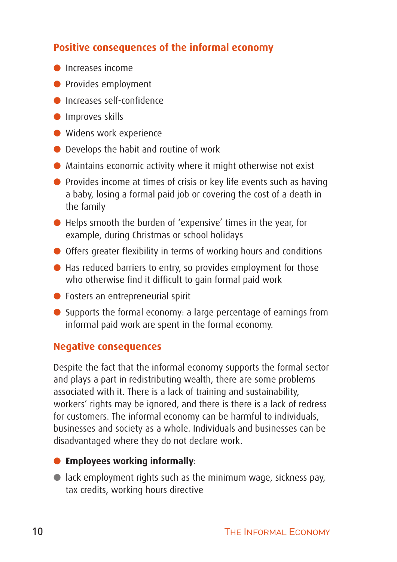## **Positive consequences of the informal economy**

- Increases income
- Provides employment
- Increases self-confidence
- Improves skills
- Widens work experience
- Develops the habit and routine of work
- Maintains economic activity where it might otherwise not exist
- Provides income at times of crisis or key life events such as having a baby, losing a formal paid job or covering the cost of a death in the family
- Helps smooth the burden of 'expensive' times in the year, for example, during Christmas or school holidays
- Offers greater flexibility in terms of working hours and conditions
- Has reduced barriers to entry, so provides employment for those who otherwise find it difficult to gain formal paid work
- Fosters an entrepreneurial spirit
- Supports the formal economy: a large percentage of earnings from informal paid work are spent in the formal economy.

## **Negative consequences**

Despite the fact that the informal economy supports the formal sector and plays a part in redistributing wealth, there are some problems associated with it. There is a lack of training and sustainability, workers' rights may be ignored, and there is there is a lack of redress for customers. The informal economy can be harmful to individuals, businesses and society as a whole. Individuals and businesses can be disadvantaged where they do not declare work.

#### ● **Employees working informally**:

● lack employment rights such as the minimum wage, sickness pay, tax credits, working hours directive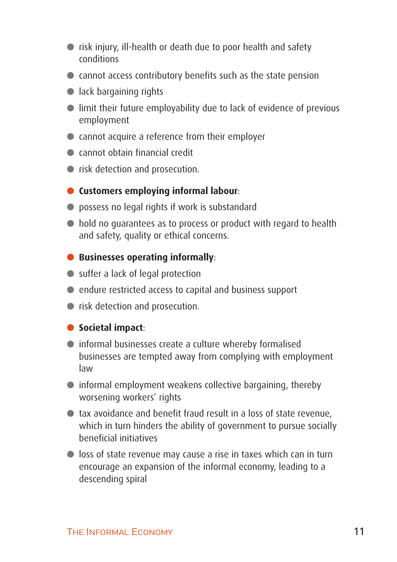- risk injury, ill-health or death due to poor health and safety conditions
- cannot access contributory benefits such as the state pension
- lack bargaining rights
- limit their future employability due to lack of evidence of previous employment
- cannot acquire a reference from their employer
- cannot obtain financial credit
- risk detection and prosecution.

#### ● **Customers employing informal labour**:

- possess no legal rights if work is substandard
- hold no guarantees as to process or product with regard to health and safety, quality or ethical concerns.

### ● **Businesses operating informally**:

- suffer a lack of legal protection
- endure restricted access to capital and business support
- risk detection and prosecution.

#### ● **Societal impact**:

- informal businesses create a culture whereby formalised businesses are tempted away from complying with employment law
- informal employment weakens collective bargaining, thereby worsening workers' rights
- tax avoidance and benefit fraud result in a loss of state revenue, which in turn hinders the ability of government to pursue socially beneficial initiatives
- loss of state revenue may cause a rise in taxes which can in turn encourage an expansion of the informal economy, leading to a descending spiral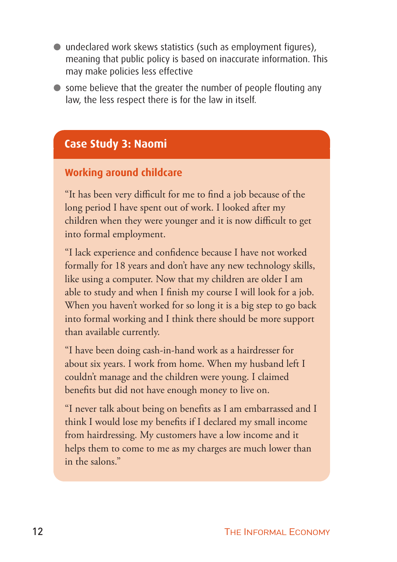- undeclared work skews statistics (such as employment figures), meaning that public policy is based on inaccurate information. This may make policies less effective
- some believe that the greater the number of people flouting any law, the less respect there is for the law in itself.

## **Case Study 3: Naomi**

### **Working around childcare**

"It has been very difficult for me to find a job because of the long period I have spent out of work. I looked after my children when they were younger and it is now difficult to get into formal employment.

"I lack experience and confidence because I have not worked formally for 18 years and don't have any new technology skills, like using a computer. Now that my children are older I am able to study and when I finish my course I will look for a job. When you haven't worked for so long it is a big step to go back into formal working and I think there should be more support than available currently.

"I have been doing cash-in-hand work as a hairdresser for about six years. I work from home. When my husband left I couldn't manage and the children were young. I claimed benefits but did not have enough money to live on.

"I never talk about being on benefits as I am embarrassed and I think I would lose my benefits if I declared my small income from hairdressing. My customers have a low income and it helps them to come to me as my charges are much lower than in the salons."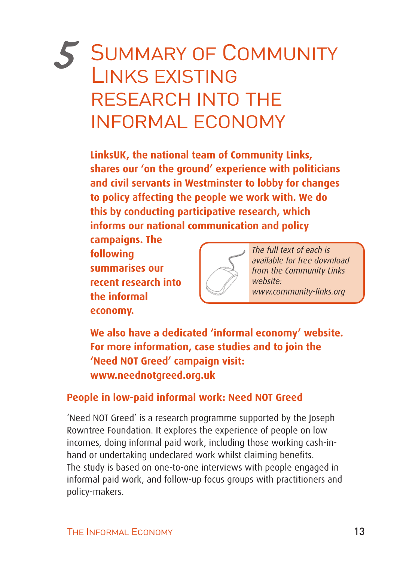## 5 SUMMARY OF COMMUNITY<br>LINKS EXISTING LINKS EXISTING RESEARCH INTO THE INFORMAL ECONOMY

**LinksUK, the national team of Community Links, shares our 'on the ground' experience with politicians and civil servants in Westminster to lobby for changes to policy affecting the people we work with. We do this by conducting participative research, which informs our national communication and policy**

**campaigns. The following summarises our recent research into the informal economy.**



The full text of each is available for free download from the Community Links website: www.community-links.org

**We also have a dedicated 'informal economy' website. For more information, case studies and to join the 'Need NOT Greed' campaign visit: www.neednotgreed.org.uk**

#### **People in low-paid informal work: Need NOT Greed**

'Need NOT Greed' is a research programme supported by the Joseph Rowntree Foundation. It explores the experience of people on low incomes, doing informal paid work, including those working cash-inhand or undertaking undeclared work whilst claiming benefits. The study is based on one-to-one interviews with people engaged in informal paid work, and follow-up focus groups with practitioners and policy-makers.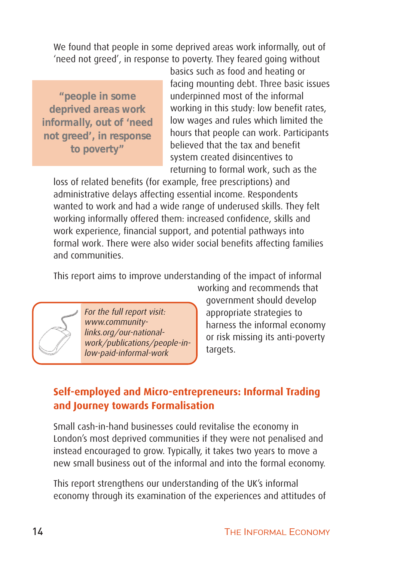We found that people in some deprived areas work informally, out of 'need not greed', in response to poverty. They feared going without

*"people in some deprived areas work informally, out of 'need not greed', in response to poverty"*

basics such as food and heating or facing mounting debt. Three basic issues underpinned most of the informal working in this study: low benefit rates, low wages and rules which limited the hours that people can work. Participants believed that the tax and benefit system created disincentives to returning to formal work, such as the

loss of related benefits (for example, free prescriptions) and administrative delays affecting essential income. Respondents wanted to work and had a wide range of underused skills. They felt working informally offered them: increased confidence, skills and work experience, financial support, and potential pathways into formal work. There were also wider social benefits affecting families and communities.

This report aims to improve understanding of the impact of informal

working and recommends that



For the full report visit: www.communitylinks.org/our-nationalwork/publications/people-inlow-paid-informal-work

government should develop appropriate strategies to harness the informal economy or risk missing its anti-poverty targets.

## **Self-employed and Micro-entrepreneurs: Informal Trading and Journey towards Formalisation**

Small cash-in-hand businesses could revitalise the economy in London's most deprived communities if they were not penalised and instead encouraged to grow. Typically, it takes two years to move a new small business out of the informal and into the formal economy.

This report strengthens our understanding of the UK's informal economy through its examination of the experiences and attitudes of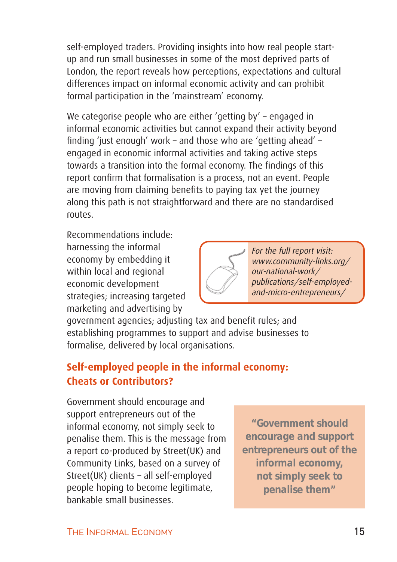self-employed traders. Providing insights into how real people startup and run small businesses in some of the most deprived parts of London, the report reveals how perceptions, expectations and cultural differences impact on informal economic activity and can prohibit formal participation in the 'mainstream' economy.

We categorise people who are either 'getting by' – engaged in informal economic activities but cannot expand their activity beyond finding 'just enough' work – and those who are 'getting ahead' – engaged in economic informal activities and taking active steps towards a transition into the formal economy. The findings of this report confirm that formalisation is a process, not an event. People are moving from claiming benefits to paying tax yet the journey along this path is not straightforward and there are no standardised routes.

Recommendations include: harnessing the informal economy by embedding it within local and regional economic development strategies; increasing targeted marketing and advertising by



For the full report visit: www.community-links.org/ our-national-work/ publications/self-employedand-micro-entrepreneurs/

government agencies; adjusting tax and benefit rules; and establishing programmes to support and advise businesses to formalise, delivered by local organisations.

## **Self-employed people in the informal economy: Cheats or Contributors?**

Government should encourage and support entrepreneurs out of the informal economy, not simply seek to penalise them. This is the message from a report co-produced by Street(UK) and Community Links, based on a survey of Street(UK) clients – all self-employed people hoping to become legitimate, bankable small businesses.

*"Government should encourage and support entrepreneurs out of the informal economy, not simply seek to penalise them"*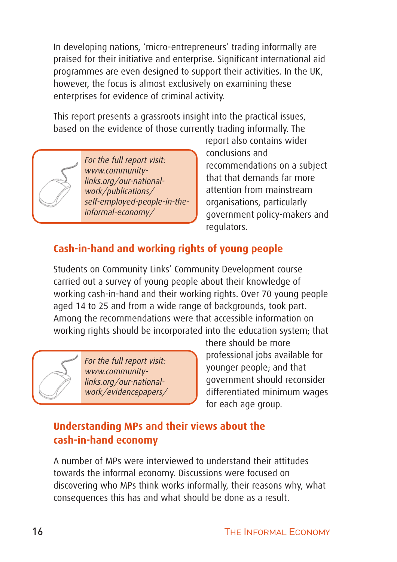In developing nations, 'micro-entrepreneurs' trading informally are praised for their initiative and enterprise. Significant international aid programmes are even designed to support their activities. In the UK, however, the focus is almost exclusively on examining these enterprises for evidence of criminal activity.

This report presents a grassroots insight into the practical issues, based on the evidence of those currently trading informally. The

> For the full report visit: www.communitylinks.org/our-nationalwork/publications/ self-employed-people-in-theinformal-economy/

report also contains wider conclusions and recommendations on a subject that that demands far more attention from mainstream organisations, particularly government policy-makers and regulators.

## **Cash-in-hand and working rights of young people**

Students on Community Links' Community Development course carried out a survey of young people about their knowledge of working cash-in-hand and their working rights. Over 70 young people aged 14 to 25 and from a wide range of backgrounds, took part. Among the recommendations were that accessible information on working rights should be incorporated into the education system; that

> For the full report visit: www.communitylinks.org/our-nationalwork/evidencepapers/

there should be more professional jobs available for younger people; and that government should reconsider differentiated minimum wages for each age group.

## **Understanding MPs and their views about the cash-in-hand economy**

A number of MPs were interviewed to understand their attitudes towards the informal economy. Discussions were focused on discovering who MPs think works informally, their reasons why, what consequences this has and what should be done as a result.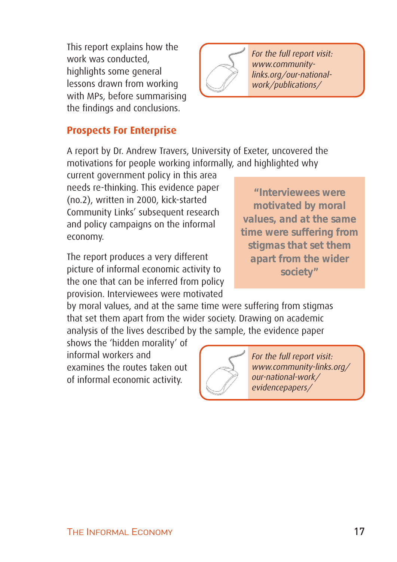This report explains how the work was conducted, highlights some general lessons drawn from working with MPs, before summarising the findings and conclusions.



For the full report visit: www.communitylinks.org/our-nationalwork/publications/

#### **Prospects For Enterprise**

A report by Dr. Andrew Travers, University of Exeter, uncovered the motivations for people working informally, and highlighted why

current government policy in this area needs re-thinking. This evidence paper (no.2), written in 2000, kick-started Community Links' subsequent research and policy campaigns on the informal economy.

The report produces a very different picture of informal economic activity to the one that can be inferred from policy provision. Interviewees were motivated

by moral values, and at the same time were suffering from stigmas that set them apart from the wider society. Drawing on academic analysis of the lives described by the sample, the evidence paper

shows the 'hidden morality' of informal workers and examines the routes taken out of informal economic activity.

*"Interviewees were motivated by moral values, and at the same time were suffering from stigmas that set them apart from the wider society"*



For the full report visit: www.community-links.org/ our-national-work/ evidencepapers/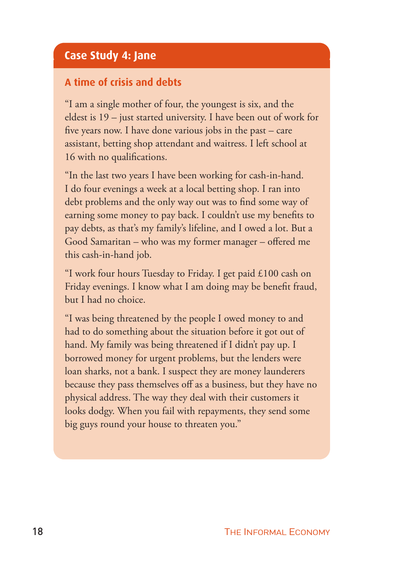## **Case Study 4: Jane**

#### **A time of crisis and debts**

"I am a single mother of four, the youngest is six, and the eldest is 19 – just started university. I have been out of work for five years now. I have done various jobs in the past – care assistant, betting shop attendant and waitress. I left school at 16 with no qualifications.

"In the last two years I have been working for cash-in-hand. I do four evenings a week at a local betting shop. I ran into debt problems and the only way out was to find some way of earning some money to pay back. I couldn't use my benefits to pay debts, as that's my family's lifeline, and I owed a lot. But a Good Samaritan – who was my former manager – offered me this cash-in-hand job.

"I work four hours Tuesday to Friday. I get paid £100 cash on Friday evenings. I know what I am doing may be benefit fraud, but I had no choice.

"I was being threatened by the people I owed money to and had to do something about the situation before it got out of hand. My family was being threatened if I didn't pay up. I borrowed money for urgent problems, but the lenders were loan sharks, not a bank. I suspect they are money launderers because they pass themselves off as a business, but they have no physical address. The way they deal with their customers it looks dodgy. When you fail with repayments, they send some big guys round your house to threaten you."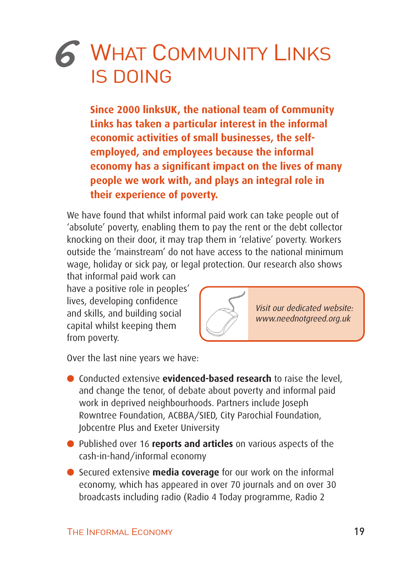# WHAT COMMUNITY LINKS *6* IS DOING

**Since 2000 linksUK, the national team of Community Links has taken a particular interest in the informal economic activities of small businesses, the selfemployed, and employees because the informal economy has a significant impact on the lives of many people we work with, and plays an integral role in their experience of poverty.**

We have found that whilst informal paid work can take people out of 'absolute' poverty, enabling them to pay the rent or the debt collector knocking on their door, it may trap them in 'relative' poverty. Workers outside the 'mainstream' do not have access to the national minimum wage, holiday or sick pay, or legal protection. Our research also shows

that informal paid work can have a positive role in peoples' lives, developing confidence and skills, and building social capital whilst keeping them from poverty.



Over the last nine years we have:

- Conducted extensive **evidenced-based research** to raise the level, and change the tenor, of debate about poverty and informal paid work in deprived neighbourhoods. Partners include Joseph Rowntree Foundation, ACBBA/SIED, City Parochial Foundation, Jobcentre Plus and Exeter University
- Published over 16 **reports and articles** on various aspects of the cash-in-hand/informal economy
- Secured extensive **media coverage** for our work on the informal economy, which has appeared in over 70 journals and on over 30 broadcasts including radio (Radio 4 Today programme, Radio 2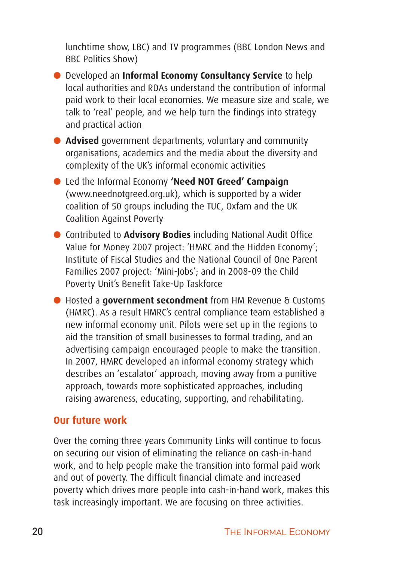lunchtime show, LBC) and TV programmes (BBC London News and BBC Politics Show)

● Developed an **Informal Economy Consultancy Service** to help local authorities and RDAs understand the contribution of informal paid work to their local economies. We measure size and scale, we talk to 'real' people, and we help turn the findings into strategy and practical action

● **Advised** government departments, voluntary and community organisations, academics and the media about the diversity and complexity of the UK's informal economic activities

● Led the Informal Economy **'Need NOT Greed' Campaign** (www.neednotgreed.org.uk), which is supported by a wider coalition of 50 groups including the TUC, Oxfam and the UK Coalition Against Poverty

● Contributed to **Advisory Bodies** including National Audit Office Value for Money 2007 project: 'HMRC and the Hidden Economy'; Institute of Fiscal Studies and the National Council of One Parent Families 2007 project: 'Mini-Jobs'; and in 2008-09 the Child Poverty Unit's Benefit Take-Up Taskforce

● Hosted a **government secondment** from HM Revenue & Customs (HMRC). As a result HMRC's central compliance team established a new informal economy unit. Pilots were set up in the regions to aid the transition of small businesses to formal trading, and an advertising campaign encouraged people to make the transition. In 2007, HMRC developed an informal economy strategy which describes an 'escalator' approach, moving away from a punitive approach, towards more sophisticated approaches, including raising awareness, educating, supporting, and rehabilitating.

#### **Our future work**

Over the coming three years Community Links will continue to focus on securing our vision of eliminating the reliance on cash-in-hand work, and to help people make the transition into formal paid work and out of poverty. The difficult financial climate and increased poverty which drives more people into cash-in-hand work, makes this task increasingly important. We are focusing on three activities.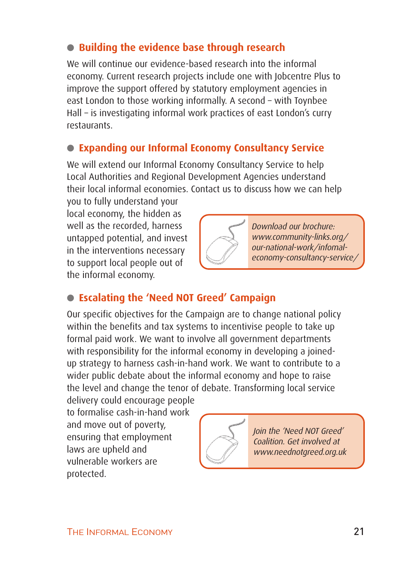## ● **Building the evidence base through research**

We will continue our evidence-based research into the informal economy. Current research projects include one with Jobcentre Plus to improve the support offered by statutory employment agencies in east London to those working informally. A second – with Toynbee Hall – is investigating informal work practices of east London's curry restaurants.

## ● **Expanding our Informal Economy Consultancy Service**

We will extend our Informal Economy Consultancy Service to help Local Authorities and Regional Development Agencies understand their local informal economies. Contact us to discuss how we can help

you to fully understand your local economy, the hidden as well as the recorded, harness untapped potential, and invest in the interventions necessary to support local people out of the informal economy.



Download our brochure: www.community-links.org/ our-national-work/infomaleconomy-consultancy-service/

## ● **Escalating the 'Need NOT Greed' Campaign**

Our specific objectives for the Campaign are to change national policy within the benefits and tax systems to incentivise people to take up formal paid work. We want to involve all government departments with responsibility for the informal economy in developing a joinedup strategy to harness cash-in-hand work. We want to contribute to a wider public debate about the informal economy and hope to raise the level and change the tenor of debate. Transforming local service

delivery could encourage people to formalise cash-in-hand work and move out of poverty, ensuring that employment laws are upheld and vulnerable workers are protected.



Join the 'Need NOT Greed' Coalition. Get involved at www.neednotgreed.org.uk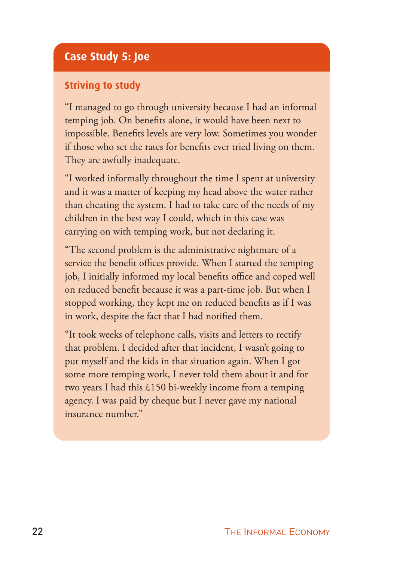## **Case Study 5: Joe**

#### **Striving to study**

"I managed to go through university because I had an informal temping job. On benefits alone, it would have been next to impossible. Benefits levels are very low. Sometimes you wonder if those who set the rates for benefits ever tried living on them. They are awfully inadequate.

"I worked informally throughout the time I spent at university and it was a matter of keeping my head above the water rather than cheating the system. I had to take care of the needs of my children in the best way I could, which in this case was carrying on with temping work, but not declaring it.

"The second problem is the administrative nightmare of a service the benefit offices provide. When I started the temping job, I initially informed my local benefits office and coped well on reduced benefit because it was a part-time job. But when I stopped working, they kept me on reduced benefits as if I was in work, despite the fact that I had notified them.

"It took weeks of telephone calls, visits and letters to rectify that problem. I decided after that incident, I wasn't going to put myself and the kids in that situation again. When I got some more temping work, I never told them about it and for two years I had this £150 bi-weekly income from a temping agency. I was paid by cheque but I never gave my national insurance number."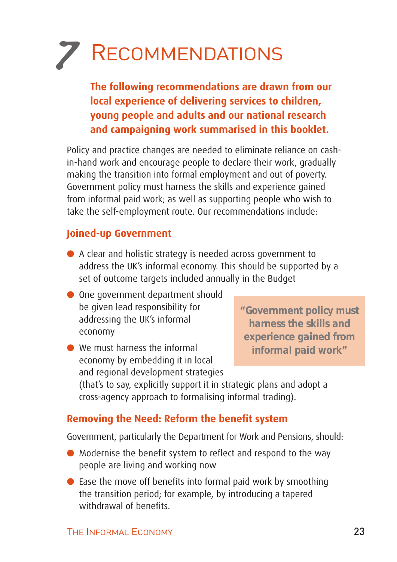

**The following recommendations are drawn from our local experience of delivering services to children, young people and adults and our national research and campaigning work summarised in this booklet.**

Policy and practice changes are needed to eliminate reliance on cashin-hand work and encourage people to declare their work, gradually making the transition into formal employment and out of poverty. Government policy must harness the skills and experience gained from informal paid work; as well as supporting people who wish to take the self-employment route. Our recommendations include:

### **Joined-up Government**

- A clear and holistic strategy is needed across government to address the UK's informal economy. This should be supported by a set of outcome targets included annually in the Budget
- One government department should be given lead responsibility for addressing the UK's informal economy
- We must harness the informal economy by embedding it in local and regional development strategies

*"Government policy must harness the skills and experience gained from informal paid work"*

(that's to say, explicitly support it in strategic plans and adopt a cross-agency approach to formalising informal trading).

#### **Removing the Need: Reform the benefit system**

Government, particularly the Department for Work and Pensions, should:

- Modernise the benefit system to reflect and respond to the way people are living and working now
- Ease the move off benefits into formal paid work by smoothing the transition period; for example, by introducing a tapered withdrawal of benefits.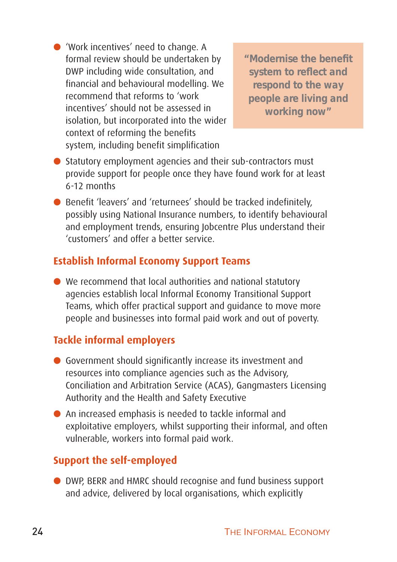● 'Work incentives' need to change. A formal review should be undertaken by DWP including wide consultation, and financial and behavioural modelling. We recommend that reforms to 'work incentives' should not be assessed in isolation, but incorporated into the wider context of reforming the benefits system, including benefit simplification

*"Modernise the benefit system to reflect and respond to the way people are living and working now"*

- Statutory employment agencies and their sub-contractors must provide support for people once they have found work for at least 6-12 months
- Benefit 'leavers' and 'returnees' should be tracked indefinitely, possibly using National Insurance numbers, to identify behavioural and employment trends, ensuring Jobcentre Plus understand their 'customers' and offer a better service.

## **Establish Informal Economy Support Teams**

● We recommend that local authorities and national statutory agencies establish local Informal Economy Transitional Support Teams, which offer practical support and guidance to move more people and businesses into formal paid work and out of poverty.

## **Tackle informal employers**

- Government should significantly increase its investment and resources into compliance agencies such as the Advisory, Conciliation and Arbitration Service (ACAS), Gangmasters Licensing Authority and the Health and Safety Executive
- An increased emphasis is needed to tackle informal and exploitative employers, whilst supporting their informal, and often vulnerable, workers into formal paid work.

## **Support the self-employed**

● DWP, BERR and HMRC should recognise and fund business support and advice, delivered by local organisations, which explicitly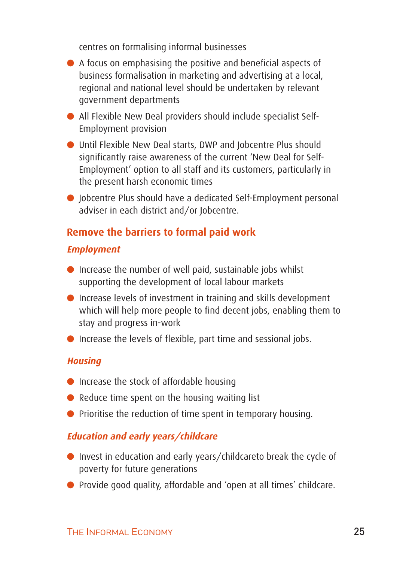centres on formalising informal businesses

- A focus on emphasising the positive and beneficial aspects of business formalisation in marketing and advertising at a local, regional and national level should be undertaken by relevant government departments
- All Flexible New Deal providers should include specialist Self-Employment provision
- Until Flexible New Deal starts, DWP and Jobcentre Plus should significantly raise awareness of the current 'New Deal for Self-Employment' option to all staff and its customers, particularly in the present harsh economic times
- Jobcentre Plus should have a dedicated Self-Employment personal adviser in each district and/or Jobcentre.

#### **Remove the barriers to formal paid work**

#### **Employment**

- Increase the number of well paid, sustainable jobs whilst supporting the development of local labour markets
- Increase levels of investment in training and skills development which will help more people to find decent jobs, enabling them to stay and progress in-work
- Increase the levels of flexible, part time and sessional jobs.

#### **Housing**

- Increase the stock of affordable housing
- $\bullet$  Reduce time spent on the housing waiting list
- Prioritise the reduction of time spent in temporary housing.

#### **Education and early years/childcare**

- Invest in education and early years/childcareto break the cycle of poverty for future generations
- Provide good quality, affordable and 'open at all times' childcare.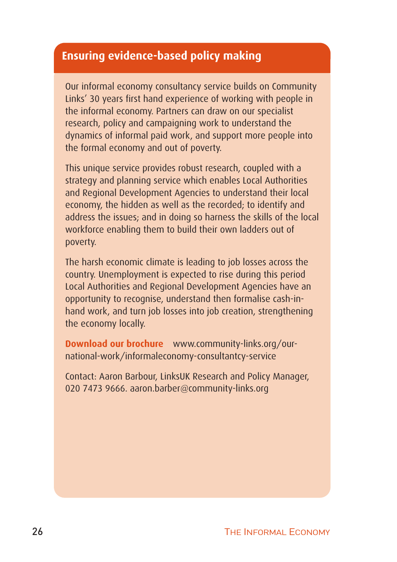## **Ensuring evidence-based policy making**

Our informal economy consultancy service builds on Community Links' 30 years first hand experience of working with people in the informal economy. Partners can draw on our specialist research, policy and campaigning work to understand the dynamics of informal paid work, and support more people into the formal economy and out of poverty.

This unique service provides robust research, coupled with a strategy and planning service which enables Local Authorities and Regional Development Agencies to understand their local economy, the hidden as well as the recorded; to identify and address the issues; and in doing so harness the skills of the local workforce enabling them to build their own ladders out of poverty.

The harsh economic climate is leading to job losses across the country. Unemployment is expected to rise during this period Local Authorities and Regional Development Agencies have an opportunity to recognise, understand then formalise cash-inhand work, and turn job losses into job creation, strengthening the economy locally.

**Download our brochure** www.community-links.org/ournational-work/informaleconomy-consultantcy-service

Contact: Aaron Barbour, LinksUK Research and Policy Manager, 020 7473 9666. aaron.barber@community-links.org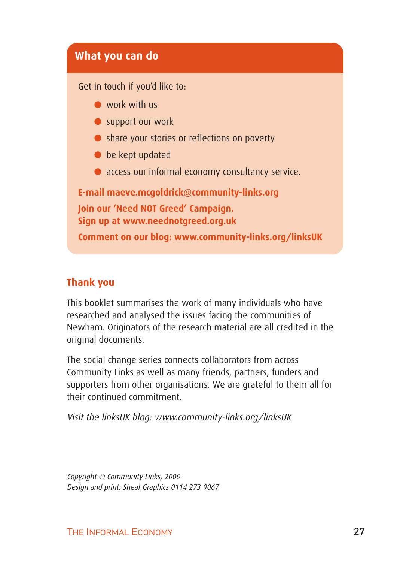## **What you can do**

Get in touch if you'd like to:

- work with us
- support our work
- share your stories or reflections on poverty
- be kept updated
- access our informal economy consultancy service.

**E-mail maeve.mcgoldrick@community-links.org Join our 'Need NOT Greed' Campaign. Sign up at www.neednotgreed.org.uk**

**Comment on our blog: www.community-links.org/linksUK**

#### **Thank you**

This booklet summarises the work of many individuals who have researched and analysed the issues facing the communities of Newham. Originators of the research material are all credited in the original documents.

The social change series connects collaborators from across Community Links as well as many friends, partners, funders and supporters from other organisations. We are grateful to them all for their continued commitment.

Visit the linksUK blog: www.community-links.org/linksUK

Copyright © Community Links, <sup>2009</sup> Design and print: Sheaf Graphics <sup>0114</sup> <sup>273</sup> <sup>9067</sup>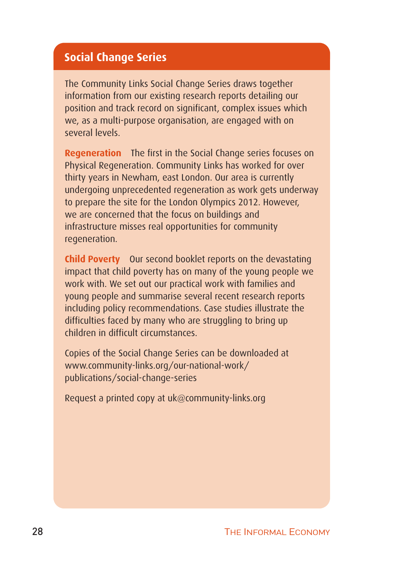## **Social Change Series**

The Community Links Social Change Series draws together information from our existing research reports detailing our position and track record on significant, complex issues which we, as a multi-purpose organisation, are engaged with on several levels.

**Regeneration** The first in the Social Change series focuses on Physical Regeneration. Community Links has worked for over thirty years in Newham, east London. Our area is currently undergoing unprecedented regeneration as work gets underway to prepare the site for the London Olympics 2012. However, we are concerned that the focus on buildings and infrastructure misses real opportunities for community regeneration.

**Child Poverty** Our second booklet reports on the devastating impact that child poverty has on many of the young people we work with. We set out our practical work with families and young people and summarise several recent research reports including policy recommendations. Case studies illustrate the difficulties faced by many who are struggling to bring up children in difficult circumstances.

Copies of the Social Change Series can be downloaded at www.community-links.org/our-national-work/ publications/social-change-series

Request a printed copy at uk@community-links.org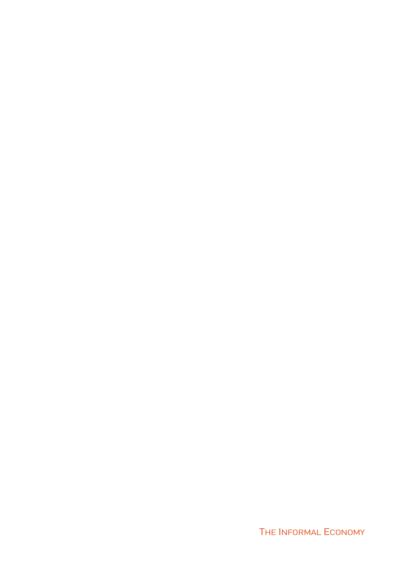THE INFORMAL ECONOMY